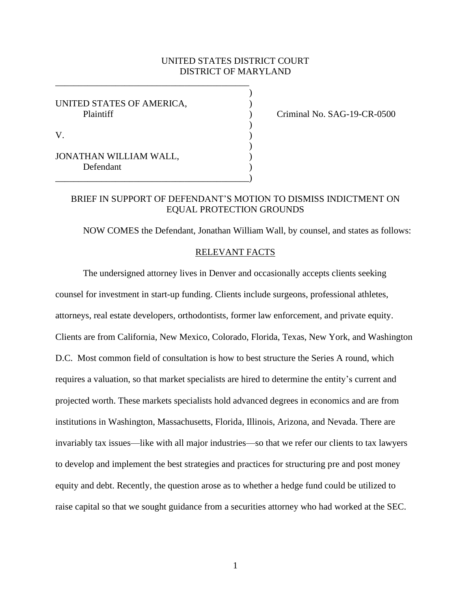## UNITED STATES DISTRICT COURT DISTRICT OF MARYLAND

)

)

)

UNITED STATES OF AMERICA, Plaintiff (Plaintiff ) Criminal No. SAG-19-CR-0500

| **********             |  |
|------------------------|--|
| V                      |  |
| JONATHAN WILLIAM WALL, |  |
| Defendant              |  |

\_\_\_\_\_\_\_\_\_\_\_\_\_\_\_\_\_\_\_\_\_\_\_\_\_\_\_\_\_\_\_\_\_\_\_\_\_\_\_\_\_\_

# BRIEF IN SUPPORT OF DEFENDANT'S MOTION TO DISMISS INDICTMENT ON EQUAL PROTECTION GROUNDS

NOW COMES the Defendant, Jonathan William Wall, by counsel, and states as follows:

#### RELEVANT FACTS

The undersigned attorney lives in Denver and occasionally accepts clients seeking counsel for investment in start-up funding. Clients include surgeons, professional athletes, attorneys, real estate developers, orthodontists, former law enforcement, and private equity. Clients are from California, New Mexico, Colorado, Florida, Texas, New York, and Washington D.C. Most common field of consultation is how to best structure the Series A round, which requires a valuation, so that market specialists are hired to determine the entity's current and projected worth. These markets specialists hold advanced degrees in economics and are from institutions in Washington, Massachusetts, Florida, Illinois, Arizona, and Nevada. There are invariably tax issues—like with all major industries—so that we refer our clients to tax lawyers to develop and implement the best strategies and practices for structuring pre and post money equity and debt. Recently, the question arose as to whether a hedge fund could be utilized to raise capital so that we sought guidance from a securities attorney who had worked at the SEC.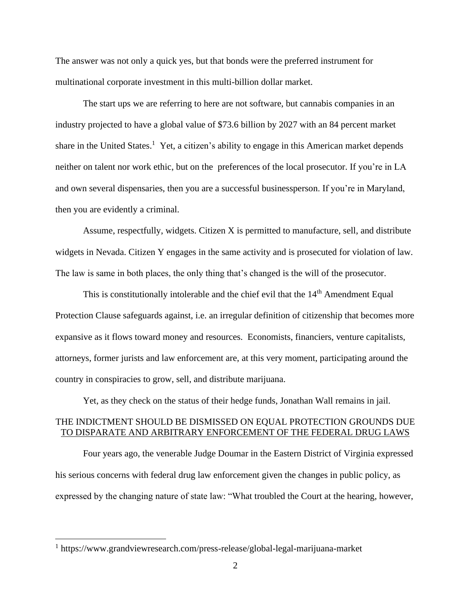The answer was not only a quick yes, but that bonds were the preferred instrument for multinational corporate investment in this multi-billion dollar market.

The start ups we are referring to here are not software, but cannabis companies in an industry projected to have a global value of \$73.6 billion by 2027 with an 84 percent market share in the United States.<sup>1</sup> Yet, a citizen's ability to engage in this American market depends neither on talent nor work ethic, but on the preferences of the local prosecutor. If you're in LA and own several dispensaries, then you are a successful businessperson. If you're in Maryland, then you are evidently a criminal.

Assume, respectfully, widgets. Citizen X is permitted to manufacture, sell, and distribute widgets in Nevada. Citizen Y engages in the same activity and is prosecuted for violation of law. The law is same in both places, the only thing that's changed is the will of the prosecutor.

This is constitutionally intolerable and the chief evil that the  $14<sup>th</sup>$  Amendment Equal Protection Clause safeguards against, i.e. an irregular definition of citizenship that becomes more expansive as it flows toward money and resources. Economists, financiers, venture capitalists, attorneys, former jurists and law enforcement are, at this very moment, participating around the country in conspiracies to grow, sell, and distribute marijuana.

Yet, as they check on the status of their hedge funds, Jonathan Wall remains in jail.

# THE INDICTMENT SHOULD BE DISMISSED ON EQUAL PROTECTION GROUNDS DUE TO DISPARATE AND ARBITRARY ENFORCEMENT OF THE FEDERAL DRUG LAWS

Four years ago, the venerable Judge Doumar in the Eastern District of Virginia expressed his serious concerns with federal drug law enforcement given the changes in public policy, as expressed by the changing nature of state law: "What troubled the Court at the hearing, however,

<sup>1</sup> https://www.grandviewresearch.com/press-release/global-legal-marijuana-market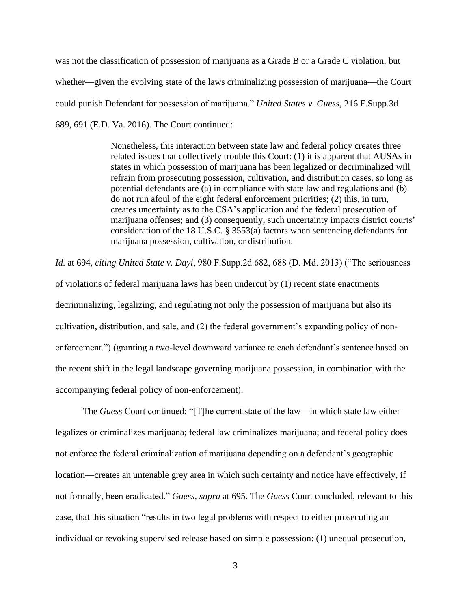was not the classification of possession of marijuana as a Grade B or a Grade C violation, but whether—given the evolving state of the laws criminalizing possession of marijuana—the Court could punish Defendant for possession of marijuana." *United States v. Guess*, 216 F.Supp.3d 689, 691 (E.D. Va. 2016). The Court continued:

> Nonetheless, this interaction between state law and federal policy creates three related issues that collectively trouble this Court: (1) it is apparent that AUSAs in states in which possession of marijuana has been legalized or decriminalized will refrain from prosecuting possession, cultivation, and distribution cases, so long as potential defendants are (a) in compliance with state law and regulations and (b) do not run afoul of the eight federal enforcement priorities; (2) this, in turn, creates uncertainty as to the CSA's application and the federal prosecution of marijuana offenses; and (3) consequently, such uncertainty impacts district courts' consideration of the 18 U.S.C. § 3553(a) factors when sentencing defendants for marijuana possession, cultivation, or distribution.

*Id.* at 694, *citing United State v. Dayi*, 980 F.Supp.2d 682, 688 (D. Md. 2013) ("The seriousness of violations of federal marijuana laws has been undercut by (1) recent state enactments decriminalizing, legalizing, and regulating not only the possession of marijuana but also its cultivation, distribution, and sale, and (2) the federal government's expanding policy of nonenforcement.") (granting a two-level downward variance to each defendant's sentence based on the recent shift in the legal landscape governing marijuana possession, in combination with the accompanying federal policy of non-enforcement).

The *Guess* Court continued: "[T]he current state of the law—in which state law either legalizes or criminalizes marijuana; federal law criminalizes marijuana; and federal policy does not enforce the federal criminalization of marijuana depending on a defendant's geographic location—creates an untenable grey area in which such certainty and notice have effectively, if not formally, been eradicated." *Guess, supra* at 695. The *Guess* Court concluded, relevant to this case, that this situation "results in two legal problems with respect to either prosecuting an individual or revoking supervised release based on simple possession: (1) unequal prosecution,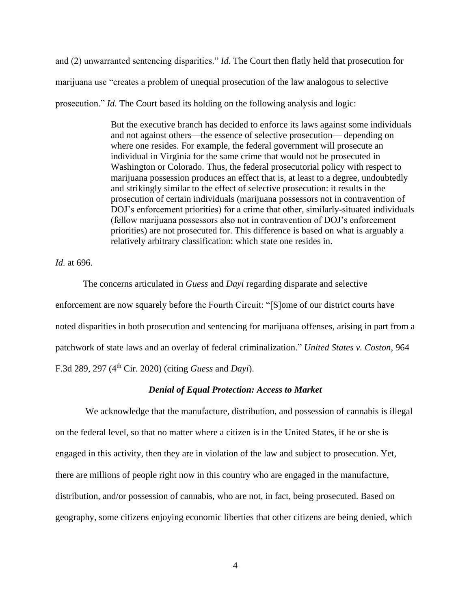and (2) unwarranted sentencing disparities." *Id.* The Court then flatly held that prosecution for marijuana use "creates a problem of unequal prosecution of the law analogous to selective prosecution." *Id.* The Court based its holding on the following analysis and logic:

> But the executive branch has decided to enforce its laws against some individuals and not against others—the essence of selective prosecution— depending on where one resides. For example, the federal government will prosecute an individual in Virginia for the same crime that would not be prosecuted in Washington or Colorado. Thus, the federal prosecutorial policy with respect to marijuana possession produces an effect that is, at least to a degree, undoubtedly and strikingly similar to the effect of selective prosecution: it results in the prosecution of certain individuals (marijuana possessors not in contravention of DOJ's enforcement priorities) for a crime that other, similarly-situated individuals (fellow marijuana possessors also not in contravention of DOJ's enforcement priorities) are not prosecuted for. This difference is based on what is arguably a relatively arbitrary classification: which state one resides in.

*Id.* at 696.

The concerns articulated in *Guess* and *Dayi* regarding disparate and selective enforcement are now squarely before the Fourth Circuit: "[S]ome of our district courts have noted disparities in both prosecution and sentencing for marijuana offenses, arising in part from a patchwork of state laws and an overlay of federal criminalization." *United States v. Coston*, 964 F.3d 289, 297 (4th Cir. 2020) (citing *Guess* and *Dayi*).

#### *Denial of Equal Protection: Access to Market*

We acknowledge that the manufacture, distribution, and possession of cannabis is illegal on the federal level, so that no matter where a citizen is in the United States, if he or she is engaged in this activity, then they are in violation of the law and subject to prosecution. Yet, there are millions of people right now in this country who are engaged in the manufacture, distribution, and/or possession of cannabis, who are not, in fact, being prosecuted. Based on geography, some citizens enjoying economic liberties that other citizens are being denied, which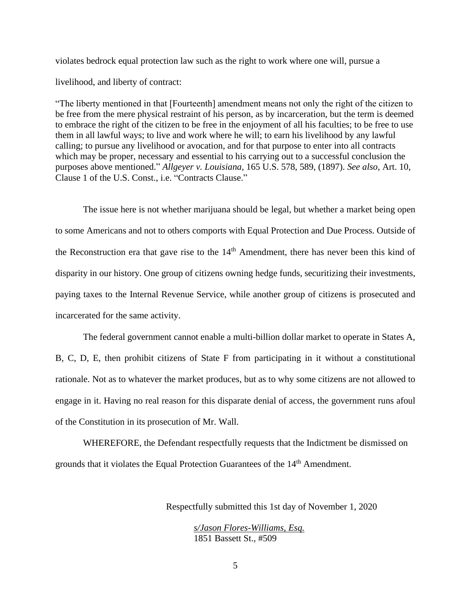violates bedrock equal protection law such as the right to work where one will, pursue a

livelihood, and liberty of contract:

"The liberty mentioned in that [Fourteenth] amendment means not only the right of the citizen to be free from the mere physical restraint of his person, as by incarceration, but the term is deemed to embrace the right of the citizen to be free in the enjoyment of all his faculties; to be free to use them in all lawful ways; to live and work where he will; to earn his livelihood by any lawful calling; to pursue any livelihood or avocation, and for that purpose to enter into all contracts which may be proper, necessary and essential to his carrying out to a successful conclusion the purposes above mentioned." *Allgeyer v. Louisiana*, 165 U.S. 578, 589, (1897). *See also*, Art. 10, Clause 1 of the U.S. Const., i.e. "Contracts Clause."

The issue here is not whether marijuana should be legal, but whether a market being open to some Americans and not to others comports with Equal Protection and Due Process. Outside of the Reconstruction era that gave rise to the 14<sup>th</sup> Amendment, there has never been this kind of disparity in our history. One group of citizens owning hedge funds, securitizing their investments, paying taxes to the Internal Revenue Service, while another group of citizens is prosecuted and incarcerated for the same activity.

The federal government cannot enable a multi-billion dollar market to operate in States A, B, C, D, E, then prohibit citizens of State F from participating in it without a constitutional rationale. Not as to whatever the market produces, but as to why some citizens are not allowed to engage in it. Having no real reason for this disparate denial of access, the government runs afoul of the Constitution in its prosecution of Mr. Wall.

WHEREFORE, the Defendant respectfully requests that the Indictment be dismissed on grounds that it violates the Equal Protection Guarantees of the 14<sup>th</sup> Amendment.

Respectfully submitted this 1st day of November 1, 2020

*s/Jason Flores-Williams, Esq.*  1851 Bassett St., #509